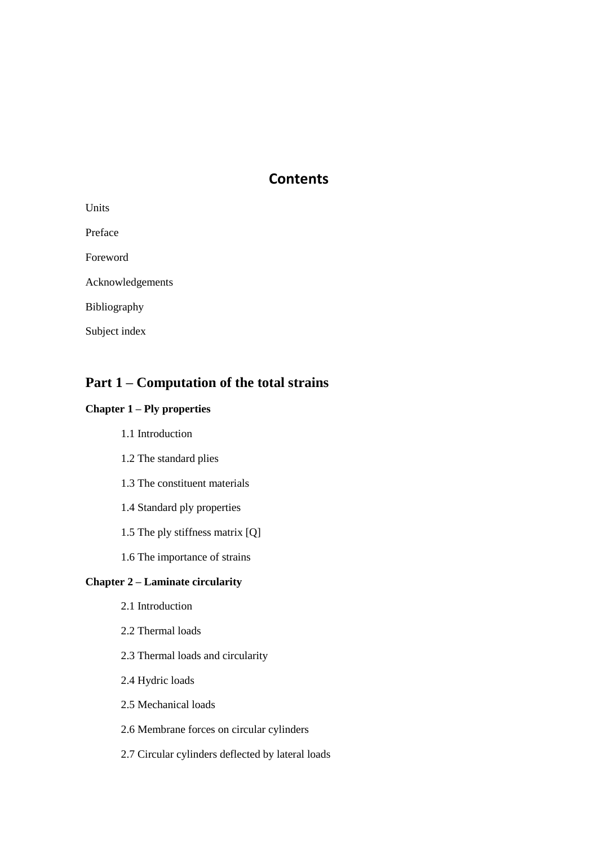# **Contents**

| Units            |
|------------------|
| Preface          |
| Foreword         |
| Acknowledgements |
| Bibliography     |
| Subject index    |

# **Part 1 – Computation of the total strains**

# **Chapter 1 – Ply properties**

- 1.1 Introduction
- 1.2 The standard plies
- 1.3 The constituent materials
- 1.4 Standard ply properties
- 1.5 The ply stiffness matrix [Q]
- 1.6 The importance of strains

# **Chapter 2 – Laminate circularity**

- 2.1 Introduction
- 2.2 Thermal loads
- 2.3 Thermal loads and circularity
- 2.4 Hydric loads
- 2.5 Mechanical loads
- 2.6 Membrane forces on circular cylinders
- 2.7 Circular cylinders deflected by lateral loads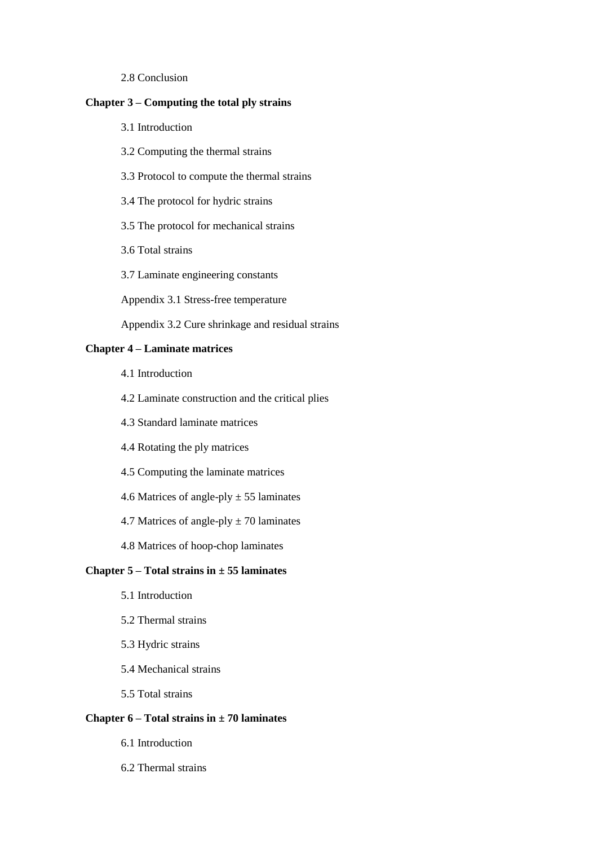2.8 Conclusion

# **Chapter 3 – Computing the total ply strains**

- 3.1 Introduction
- 3.2 Computing the thermal strains
- 3.3 Protocol to compute the thermal strains
- 3.4 The protocol for hydric strains
- 3.5 The protocol for mechanical strains
- 3.6 Total strains
- 3.7 Laminate engineering constants

Appendix 3.1 Stress-free temperature

Appendix 3.2 Cure shrinkage and residual strains

# **Chapter 4 – Laminate matrices**

- 4.1 Introduction
- 4.2 Laminate construction and the critical plies
- 4.3 Standard laminate matrices
- 4.4 Rotating the ply matrices
- 4.5 Computing the laminate matrices
- 4.6 Matrices of angle-ply  $\pm$  55 laminates
- 4.7 Matrices of angle-ply  $\pm$  70 laminates
- 4.8 Matrices of hoop-chop laminates

## **Chapter 5 – Total strains in ± 55 laminates**

- 5.1 Introduction
- 5.2 Thermal strains
- 5.3 Hydric strains
- 5.4 Mechanical strains
- 5.5 Total strains

## **Chapter 6 – Total strains in ± 70 laminates**

- 6.1 Introduction
- 6.2 Thermal strains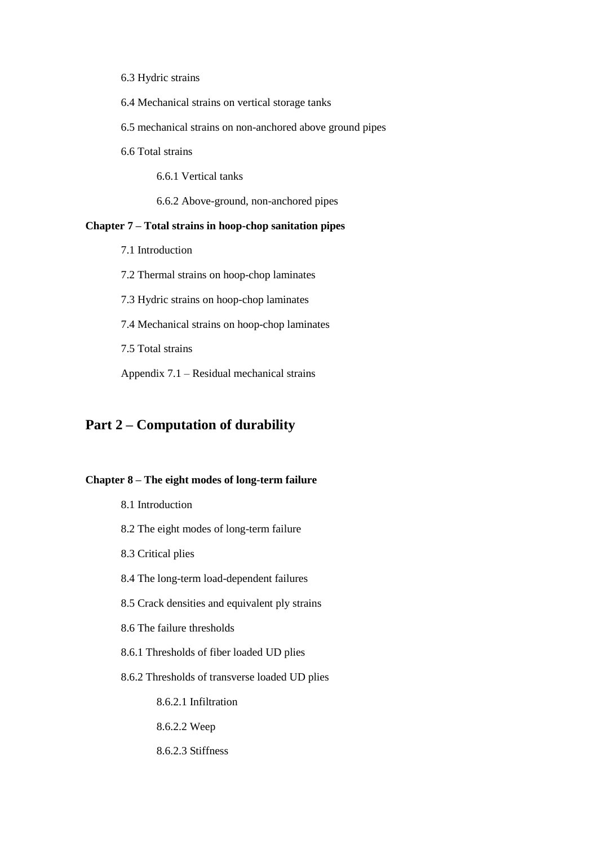- 6.3 Hydric strains
- 6.4 Mechanical strains on vertical storage tanks
- 6.5 mechanical strains on non-anchored above ground pipes
- 6.6 Total strains

6.6.1 Vertical tanks

6.6.2 Above-ground, non-anchored pipes

# **Chapter 7 – Total strains in hoop-chop sanitation pipes**

- 7.1 Introduction
- 7.2 Thermal strains on hoop-chop laminates
- 7.3 Hydric strains on hoop-chop laminates
- 7.4 Mechanical strains on hoop-chop laminates

7.5 Total strains

Appendix 7.1 – Residual mechanical strains

# **Part 2 – Computation of durability**

# **Chapter 8 – The eight modes of long-term failure**

| 8.1 Introduction                               |
|------------------------------------------------|
| 8.2 The eight modes of long-term failure       |
| 8.3 Critical plies                             |
| 8.4 The long-term load-dependent failures      |
| 8.5 Crack densities and equivalent ply strains |
| 8.6 The failure thresholds                     |
| 8.6.1 Thresholds of fiber loaded UD plies      |
| 8.6.2 Thresholds of transverse loaded UD plies |
| 8.6.2.1 Infiltration                           |
| 8.6.2.2 Weep                                   |
| 8.6.2.3 Stiffness                              |
|                                                |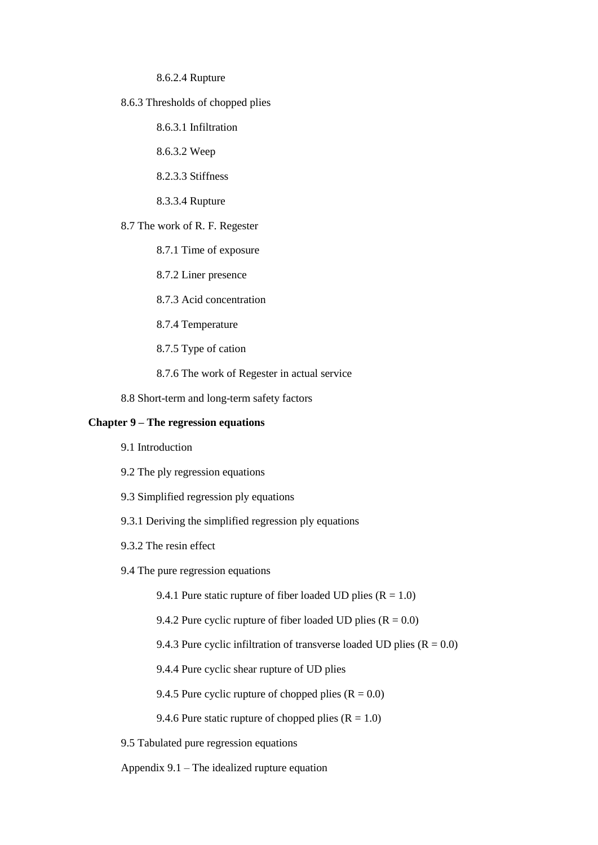#### 8.6.2.4 Rupture

8.6.3 Thresholds of chopped plies

8.6.3.1 Infiltration

8.6.3.2 Weep

8.2.3.3 Stiffness

8.3.3.4 Rupture

8.7 The work of R. F. Regester

8.7.1 Time of exposure

8.7.2 Liner presence

8.7.3 Acid concentration

8.7.4 Temperature

8.7.5 Type of cation

8.7.6 The work of Regester in actual service

8.8 Short-term and long-term safety factors

# **Chapter 9 – The regression equations**

- 9.1 Introduction
- 9.2 The ply regression equations
- 9.3 Simplified regression ply equations
- 9.3.1 Deriving the simplified regression ply equations
- 9.3.2 The resin effect
- 9.4 The pure regression equations
	- 9.4.1 Pure static rupture of fiber loaded UD plies  $(R = 1.0)$
	- 9.4.2 Pure cyclic rupture of fiber loaded UD plies  $(R = 0.0)$
	- 9.4.3 Pure cyclic infiltration of transverse loaded UD plies  $(R = 0.0)$
	- 9.4.4 Pure cyclic shear rupture of UD plies

9.4.5 Pure cyclic rupture of chopped plies  $(R = 0.0)$ 

9.4.6 Pure static rupture of chopped plies  $(R = 1.0)$ 

9.5 Tabulated pure regression equations

Appendix 9.1 – The idealized rupture equation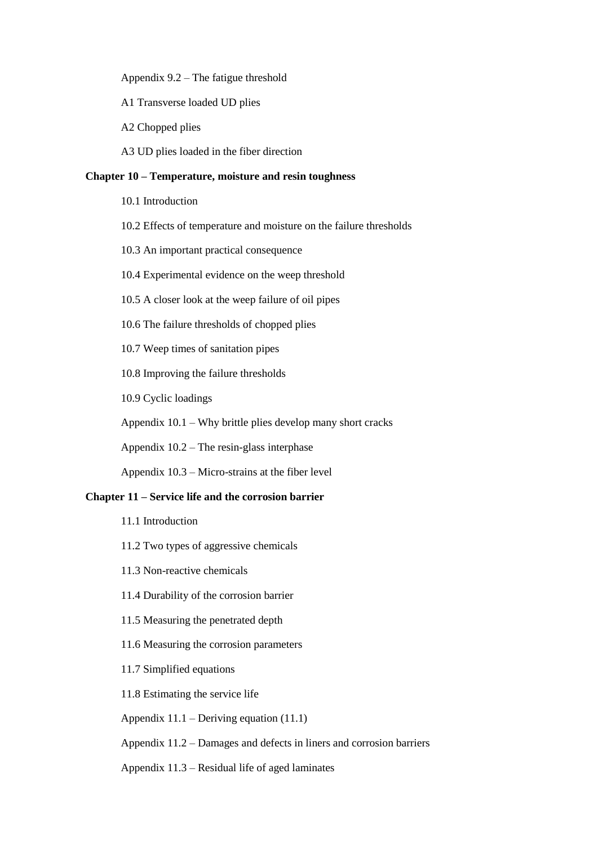Appendix 9.2 – The fatigue threshold

A1 Transverse loaded UD plies

A2 Chopped plies

A3 UD plies loaded in the fiber direction

# **Chapter 10 – Temperature, moisture and resin toughness**

10.1 Introduction

- 10.2 Effects of temperature and moisture on the failure thresholds
- 10.3 An important practical consequence
- 10.4 Experimental evidence on the weep threshold
- 10.5 A closer look at the weep failure of oil pipes
- 10.6 The failure thresholds of chopped plies

10.7 Weep times of sanitation pipes

10.8 Improving the failure thresholds

10.9 Cyclic loadings

Appendix 10.1 – Why brittle plies develop many short cracks

Appendix 10.2 – The resin-glass interphase

Appendix 10.3 – Micro-strains at the fiber level

# **Chapter 11 – Service life and the corrosion barrier**

- 11.1 Introduction
- 11.2 Two types of aggressive chemicals
- 11.3 Non-reactive chemicals
- 11.4 Durability of the corrosion barrier
- 11.5 Measuring the penetrated depth
- 11.6 Measuring the corrosion parameters
- 11.7 Simplified equations
- 11.8 Estimating the service life

Appendix 11.1 – Deriving equation (11.1)

Appendix 11.2 – Damages and defects in liners and corrosion barriers

Appendix 11.3 – Residual life of aged laminates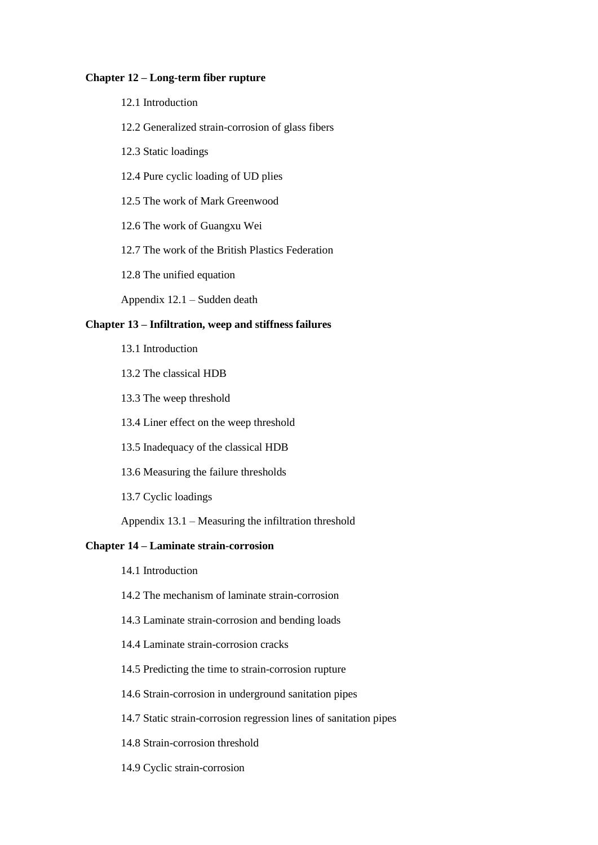#### **Chapter 12 – Long-term fiber rupture**

- 12.1 Introduction
- 12.2 Generalized strain-corrosion of glass fibers
- 12.3 Static loadings
- 12.4 Pure cyclic loading of UD plies
- 12.5 The work of Mark Greenwood
- 12.6 The work of Guangxu Wei
- 12.7 The work of the British Plastics Federation
- 12.8 The unified equation
- Appendix 12.1 Sudden death

#### **Chapter 13 – Infiltration, weep and stiffness failures**

- 13.1 Introduction
- 13.2 The classical HDB
- 13.3 The weep threshold
- 13.4 Liner effect on the weep threshold
- 13.5 Inadequacy of the classical HDB
- 13.6 Measuring the failure thresholds
- 13.7 Cyclic loadings
- Appendix 13.1 Measuring the infiltration threshold

# **Chapter 14 – Laminate strain-corrosion**

- 14.1 Introduction
- 14.2 The mechanism of laminate strain-corrosion
- 14.3 Laminate strain-corrosion and bending loads
- 14.4 Laminate strain-corrosion cracks
- 14.5 Predicting the time to strain-corrosion rupture
- 14.6 Strain-corrosion in underground sanitation pipes
- 14.7 Static strain-corrosion regression lines of sanitation pipes
- 14.8 Strain-corrosion threshold
- 14.9 Cyclic strain-corrosion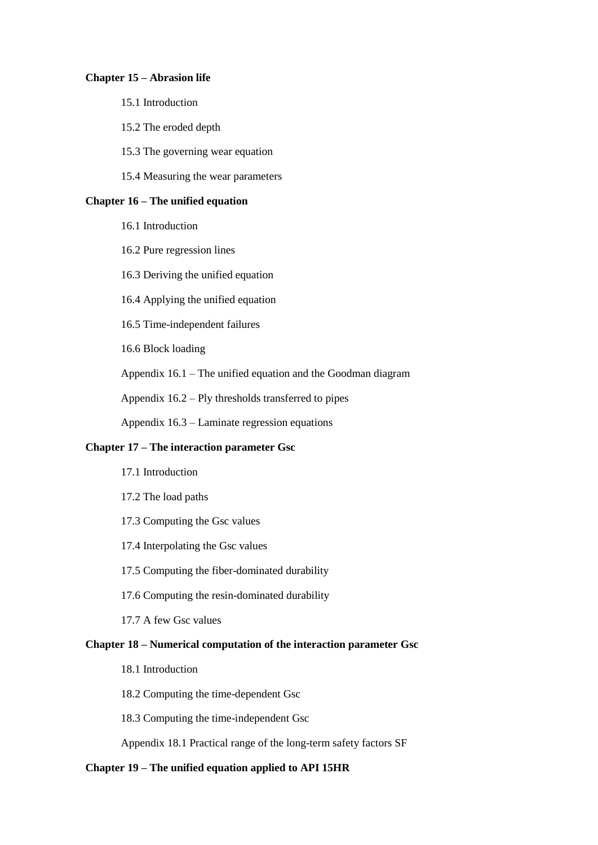#### **Chapter 15 – Abrasion life**

## 15.1 Introduction

- 15.2 The eroded depth
- 15.3 The governing wear equation
- 15.4 Measuring the wear parameters

## **Chapter 16 – The unified equation**

- 16.1 Introduction
- 16.2 Pure regression lines
- 16.3 Deriving the unified equation
- 16.4 Applying the unified equation
- 16.5 Time-independent failures

16.6 Block loading

Appendix 16.1 – The unified equation and the Goodman diagram

Appendix 16.2 – Ply thresholds transferred to pipes

Appendix 16.3 – Laminate regression equations

#### **Chapter 17 – The interaction parameter Gsc**

- 17.1 Introduction
- 17.2 The load paths
- 17.3 Computing the Gsc values
- 17.4 Interpolating the Gsc values
- 17.5 Computing the fiber-dominated durability
- 17.6 Computing the resin-dominated durability
- 17.7 A few Gsc values

# **Chapter 18 – Numerical computation of the interaction parameter Gsc**

- 18.1 Introduction
- 18.2 Computing the time-dependent Gsc

18.3 Computing the time-independent Gsc

Appendix 18.1 Practical range of the long-term safety factors SF

#### **Chapter 19 – The unified equation applied to API 15HR**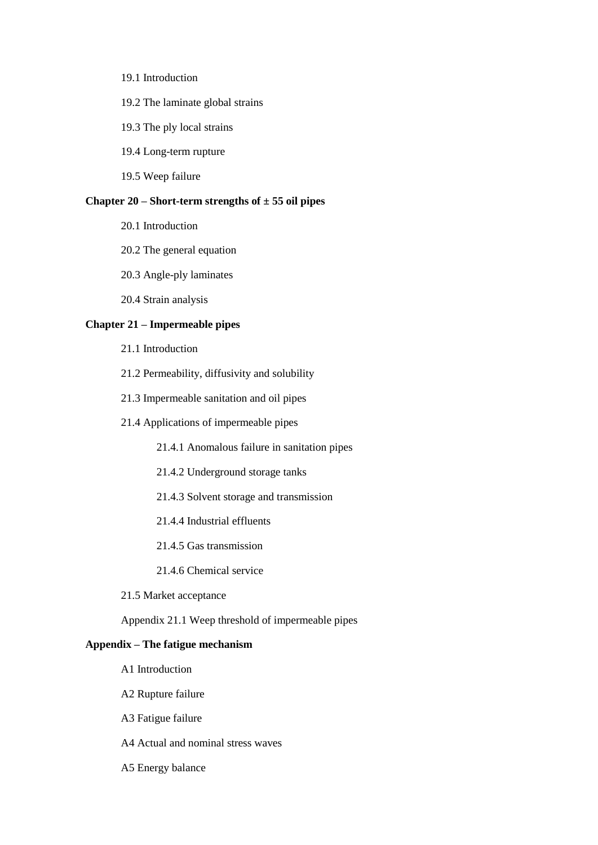19.1 Introduction

#### 19.2 The laminate global strains

- 19.3 The ply local strains
- 19.4 Long-term rupture
- 19.5 Weep failure

### **Chapter 20 – Short-term strengths of ± 55 oil pipes**

- 20.1 Introduction
- 20.2 The general equation
- 20.3 Angle-ply laminates
- 20.4 Strain analysis

#### **Chapter 21 – Impermeable pipes**

- 21.1 Introduction
- 21.2 Permeability, diffusivity and solubility
- 21.3 Impermeable sanitation and oil pipes
- 21.4 Applications of impermeable pipes
	- 21.4.1 Anomalous failure in sanitation pipes
	- 21.4.2 Underground storage tanks
	- 21.4.3 Solvent storage and transmission
	- 21.4.4 Industrial effluents
	- 21.4.5 Gas transmission
	- 21.4.6 Chemical service
- 21.5 Market acceptance
- Appendix 21.1 Weep threshold of impermeable pipes

# **Appendix – The fatigue mechanism**

- A1 Introduction
- A2 Rupture failure
- A3 Fatigue failure
- A4 Actual and nominal stress waves
- A5 Energy balance